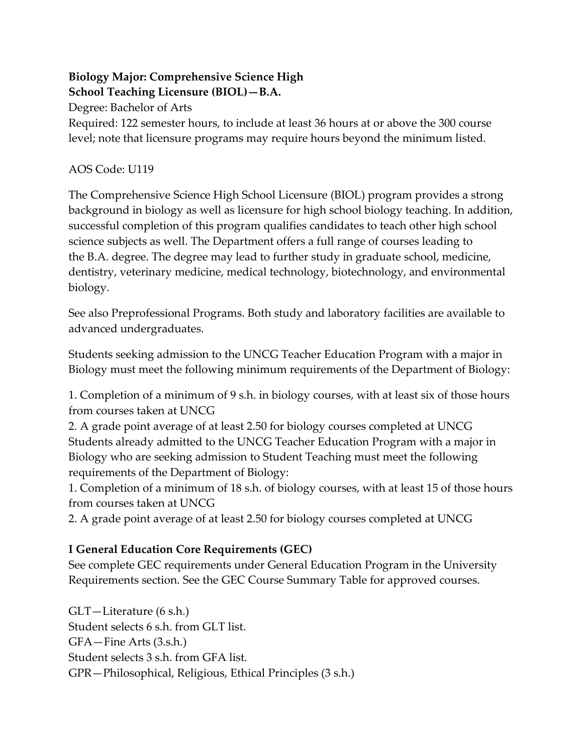## **Biology Major: Comprehensive Science High School Teaching Licensure (BIOL)—B.A.**

Degree: Bachelor of Arts

Required: 122 semester hours, to include at least 36 hours at or above the 300 course level; note that licensure programs may require hours beyond the minimum listed.

### AOS Code: U119

The Comprehensive Science High School Licensure (BIOL) program provides a strong background in biology as well as licensure for high school biology teaching. In addition, successful completion of this program qualifies candidates to teach other high school science subjects as well. The Department offers a full range of courses leading to the B.A. degree. The degree may lead to further study in graduate school, medicine, dentistry, veterinary medicine, medical technology, biotechnology, and environmental biology.

See also Preprofessional Programs. Both study and laboratory facilities are available to advanced undergraduates.

Students seeking admission to the UNCG Teacher Education Program with a major in Biology must meet the following minimum requirements of the Department of Biology:

1. Completion of a minimum of 9 s.h. in biology courses, with at least six of those hours from courses taken at UNCG

2. A grade point average of at least 2.50 for biology courses completed at UNCG Students already admitted to the UNCG Teacher Education Program with a major in Biology who are seeking admission to Student Teaching must meet the following requirements of the Department of Biology:

1. Completion of a minimum of 18 s.h. of biology courses, with at least 15 of those hours from courses taken at UNCG

2. A grade point average of at least 2.50 for biology courses completed at UNCG

## **I General Education Core Requirements (GEC)**

See complete GEC requirements under General Education Program in the University Requirements section. See the GEC Course Summary Table for approved courses.

GLT—Literature (6 s.h.) Student selects 6 s.h. from GLT list. GFA—Fine Arts (3.s.h.) Student selects 3 s.h. from GFA list. GPR—Philosophical, Religious, Ethical Principles (3 s.h.)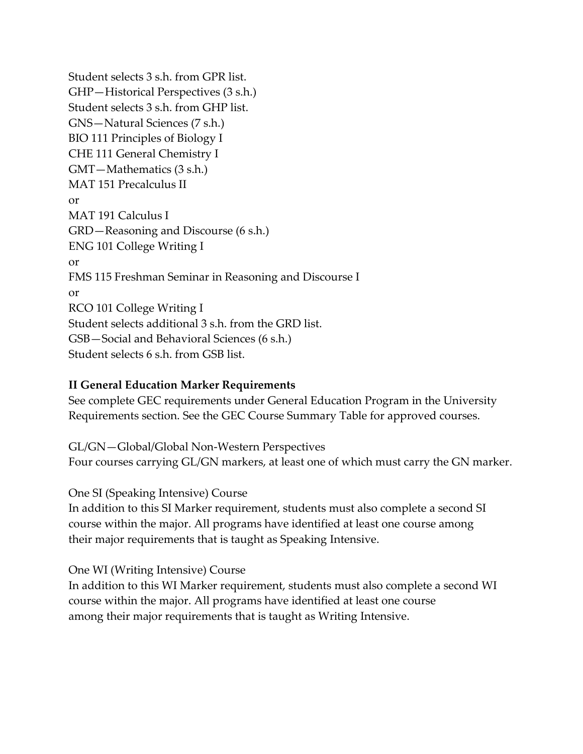Student selects 3 s.h. from GPR list. GHP—Historical Perspectives (3 s.h.) Student selects 3 s.h. from GHP list. GNS—Natural Sciences (7 s.h.) BIO 111 Principles of Biology I CHE 111 General Chemistry I GMT—Mathematics (3 s.h.) MAT 151 Precalculus II or MAT 191 Calculus I GRD—Reasoning and Discourse (6 s.h.) ENG 101 College Writing I or FMS 115 Freshman Seminar in Reasoning and Discourse I or RCO 101 College Writing I Student selects additional 3 s.h. from the GRD list. GSB—Social and Behavioral Sciences (6 s.h.) Student selects 6 s.h. from GSB list.

#### **II General Education Marker Requirements**

See complete GEC requirements under General Education Program in the University Requirements section. See the GEC Course Summary Table for approved courses.

GL/GN—Global/Global Non-Western Perspectives Four courses carrying GL/GN markers, at least one of which must carry the GN marker.

One SI (Speaking Intensive) Course

In addition to this SI Marker requirement, students must also complete a second SI course within the major. All programs have identified at least one course among their major requirements that is taught as Speaking Intensive.

One WI (Writing Intensive) Course

In addition to this WI Marker requirement, students must also complete a second WI course within the major. All programs have identified at least one course among their major requirements that is taught as Writing Intensive.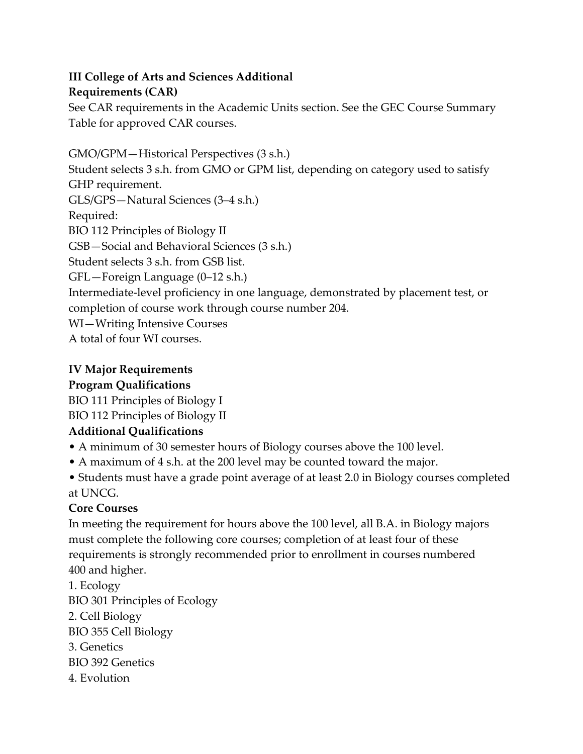### **III College of Arts and Sciences Additional Requirements (CAR)**

See CAR requirements in the Academic Units section. See the GEC Course Summary Table for approved CAR courses.

GMO/GPM—Historical Perspectives (3 s.h.) Student selects 3 s.h. from GMO or GPM list, depending on category used to satisfy GHP requirement. GLS/GPS—Natural Sciences (3–4 s.h.) Required: BIO 112 Principles of Biology II GSB—Social and Behavioral Sciences (3 s.h.) Student selects 3 s.h. from GSB list. GFL—Foreign Language (0–12 s.h.) Intermediate-level proficiency in one language, demonstrated by placement test, or completion of course work through course number 204. WI—Writing Intensive Courses A total of four WI courses.

## **IV Major Requirements**

### **Program Qualifications**

BIO 111 Principles of Biology I

# BIO 112 Principles of Biology II

## **Additional Qualifications**

- A minimum of 30 semester hours of Biology courses above the 100 level.
- A maximum of 4 s.h. at the 200 level may be counted toward the major.
- Students must have a grade point average of at least 2.0 in Biology courses completed at UNCG.

## **Core Courses**

In meeting the requirement for hours above the 100 level, all B.A. in Biology majors must complete the following core courses; completion of at least four of these requirements is strongly recommended prior to enrollment in courses numbered 400 and higher.

1. Ecology BIO 301 Principles of Ecology 2. Cell Biology BIO 355 Cell Biology 3. Genetics BIO 392 Genetics 4. Evolution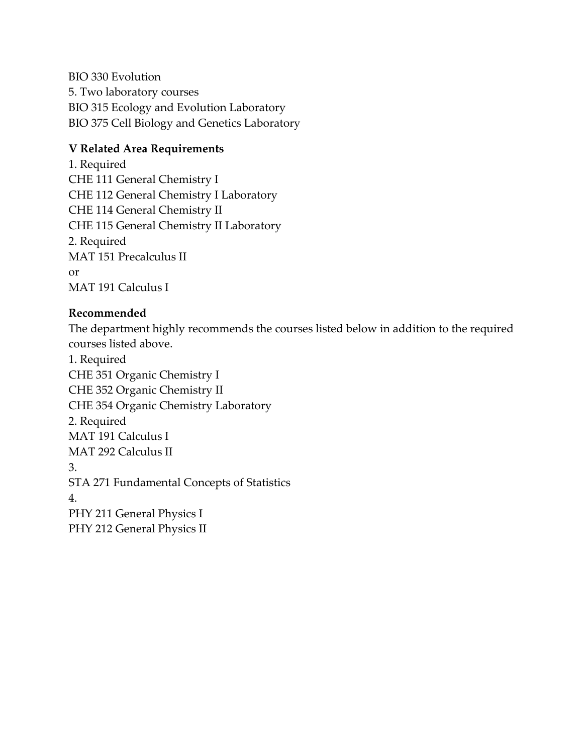BIO 330 Evolution 5. Two laboratory courses BIO 315 Ecology and Evolution Laboratory BIO 375 Cell Biology and Genetics Laboratory

### **V Related Area Requirements**

1. Required CHE 111 General Chemistry I CHE 112 General Chemistry I Laboratory CHE 114 General Chemistry II CHE 115 General Chemistry II Laboratory 2. Required MAT 151 Precalculus II or MAT 191 Calculus I

### **Recommended**

The department highly recommends the courses listed below in addition to the required courses listed above.

1. Required CHE 351 Organic Chemistry I CHE 352 Organic Chemistry II CHE 354 Organic Chemistry Laboratory 2. Required MAT 191 Calculus I MAT 292 Calculus II 3. STA 271 Fundamental Concepts of Statistics 4. PHY 211 General Physics I PHY 212 General Physics II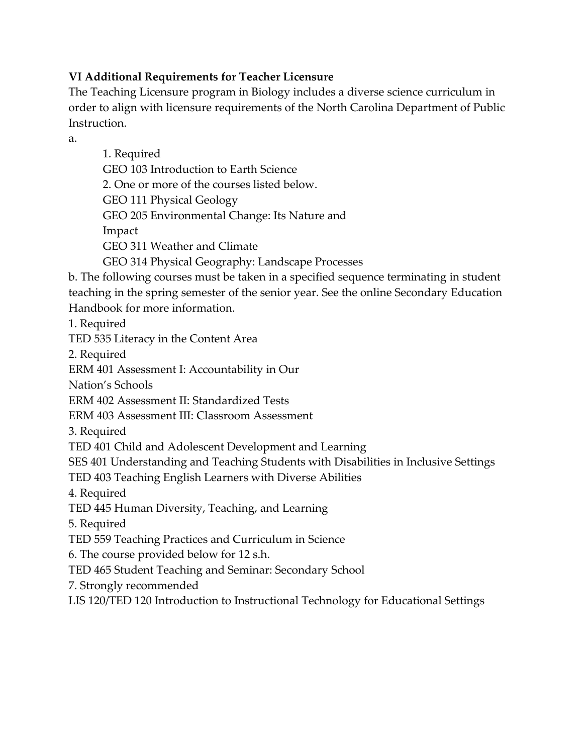### **VI Additional Requirements for Teacher Licensure**

The Teaching Licensure program in Biology includes a diverse science curriculum in order to align with licensure requirements of the North Carolina Department of Public Instruction.

a.

| 1. Required<br>GEO 103 Introduction to Earth Science<br>2. One or more of the courses listed below.<br>GEO 111 Physical Geology |
|---------------------------------------------------------------------------------------------------------------------------------|
| GEO 205 Environmental Change: Its Nature and                                                                                    |
| Impact                                                                                                                          |
| GEO 311 Weather and Climate                                                                                                     |
| GEO 314 Physical Geography: Landscape Processes                                                                                 |
| b. The following courses must be taken in a specified sequence terminating in student                                           |
| teaching in the spring semester of the senior year. See the online Secondary Education                                          |
| Handbook for more information.                                                                                                  |
| 1. Required                                                                                                                     |
| TED 535 Literacy in the Content Area                                                                                            |
| 2. Required                                                                                                                     |
| ERM 401 Assessment I: Accountability in Our                                                                                     |
| Nation's Schools                                                                                                                |
| ERM 402 Assessment II: Standardized Tests                                                                                       |
| ERM 403 Assessment III: Classroom Assessment                                                                                    |
| 3. Required                                                                                                                     |
| TED 401 Child and Adolescent Development and Learning                                                                           |
| SES 401 Understanding and Teaching Students with Disabilities in Inclusive Settings                                             |
| TED 403 Teaching English Learners with Diverse Abilities                                                                        |
| 4. Required                                                                                                                     |
| TED 445 Human Diversity, Teaching, and Learning                                                                                 |
| 5. Required                                                                                                                     |
| TED 559 Teaching Practices and Curriculum in Science                                                                            |
| 6. The course provided below for 12 s.h.                                                                                        |
| TED 465 Student Teaching and Seminar: Secondary School                                                                          |
| 7. Strongly recommended                                                                                                         |
| LIS 120/TED 120 Introduction to Instructional Technology for Educational Settings                                               |
|                                                                                                                                 |